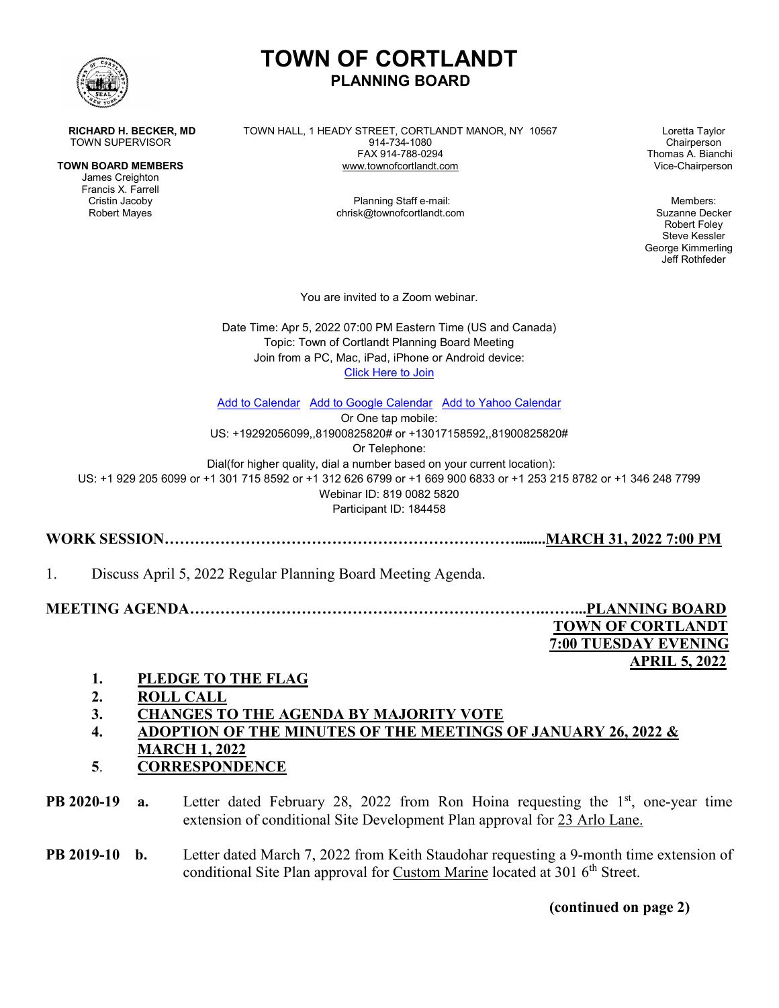

James Creighton Francis X. Farrell

**RICHARD H. BECKER, MD** TOWN HALL, 1 HEADY STREET, CORTLANDT MANOR, NY 10567 Loretta Taylor<br>TOWN SUPERVISOR Chairperson TOWN SUPERVISOR 1914-734-1080<br>FAX 914-788-0294 **TOWN BOARD MEMBERS WWW.townofcortlandt.com** 

**PLANNING BOARD**

**TOWN OF CORTLANDT**

Cristin Jacoby Planning Staff e-mail: Members: chrisk@townofcortlandt.com Suzanne Decker

Thomas A. Bianchi<br>Vice-Chairperson

Robert Foley Steve Kessler George Kimmerling Jeff Rothfeder

You are invited to a Zoom webinar.

Date Time: Apr 5, 2022 07:00 PM Eastern Time (US and Canada) Topic: Town of Cortlandt Planning Board Meeting Join from a PC, Mac, iPad, iPhone or Android device: [Click Here to Join](https://us02web.zoom.us/w/81900825820?tk=GmlvjgG1eSDF71V1YbvihaaM9x4CHL-2rcur3zXtTms.DQMAAAATEats3BZjTkp0Z1c1TVIyeXhNN2VZVV9SZkRnAAAAAAAAAAAAAAAAAAAAAAAAAAAAAA)

[Add to Calendar](https://us02web.zoom.us/webinar/tZUkd-mgrD4iGNSCIH1LDYbZggd9FoWKKHgc/ics?user_id=cNJtgW5MR2yxM7eYU_RfDg&type=icalendar) [Add to Google Calendar](https://us02web.zoom.us/webinar/tZUkd-mgrD4iGNSCIH1LDYbZggd9FoWKKHgc/calendar/google/add?user_id=cNJtgW5MR2yxM7eYU_RfDg&type=google) [Add to Yahoo Calendar](https://us02web.zoom.us/webinar/tZUkd-mgrD4iGNSCIH1LDYbZggd9FoWKKHgc/ics?user_id=cNJtgW5MR2yxM7eYU_RfDg&type=yahoo)

Or One tap mobile: US: +19292056099,,81900825820# or +13017158592,,81900825820# Or Telephone: Dial(for higher quality, dial a number based on your current location): US: +1 929 205 6099 or +1 301 715 8592 or +1 312 626 6799 or +1 669 900 6833 or +1 253 215 8782 or +1 346 248 7799 Webinar ID: 819 0082 5820 Participant ID: 184458

**WORK SESSION……………………………………………………………........MARCH 31, 2022 7:00 PM**

1. Discuss April 5, 2022 Regular Planning Board Meeting Agenda.

**MEETING AGENDA…………………………………………………………….……...PLANNING BOARD TOWN OF CORTLANDT 7:00 TUESDAY EVENING APRIL 5, 2022**

- **1. PLEDGE TO THE FLAG**
- **2. ROLL CALL**
- **3. CHANGES TO THE AGENDA BY MAJORITY VOTE**
- **4. ADOPTION OF THE MINUTES OF THE MEETINGS OF JANUARY 26, 2022 & MARCH 1, 2022**
- **5**. **CORRESPONDENCE**

**PB 2020-19 a.** Letter dated February 28, 2022 from Ron Hoina requesting the 1<sup>st</sup>, one-year time extension of conditional Site Development Plan approval for 23 Arlo Lane.

**PB 2019-10 b.** Letter dated March 7, 2022 from Keith Staudohar requesting a 9-month time extension of conditional Site Plan approval for Custom Marine located at  $301\,6^{th}$  Street.

**(continued on page 2)**